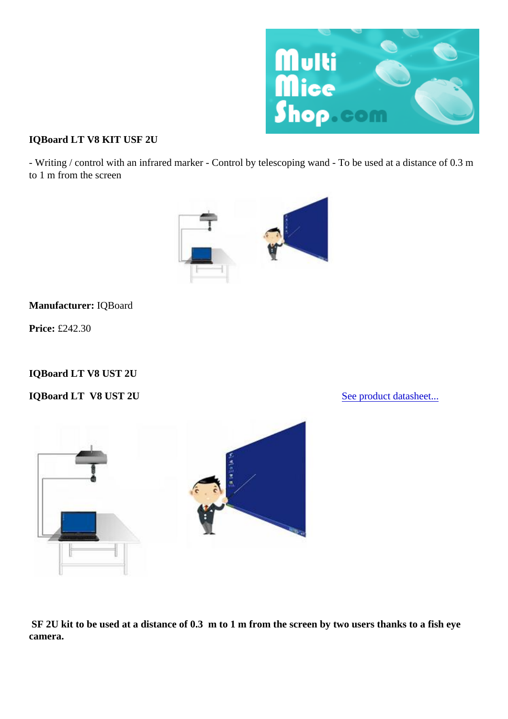IQBoard LT V8 KIT USF 2U

- Writing / control with an infrared marker - Control by telescoping wand - To be used at a distance of 0.3 m to 1 m from the screen

Manufacturer: IQBoard

Price: £242.30

IQBoard LT V8 UST 2U

IQBoard LT V8 UST 2U [Seeproduct datashee](http://multimiceshop.whost28.fr/images/Image/File/Fiches_produits_EN/IQBoard_LT_EN_3_comm.pdf)t...

 SF 2U kit to be used at a distance of 0.3 m to 1 m from the screen by two users thanks to a fish eye camera.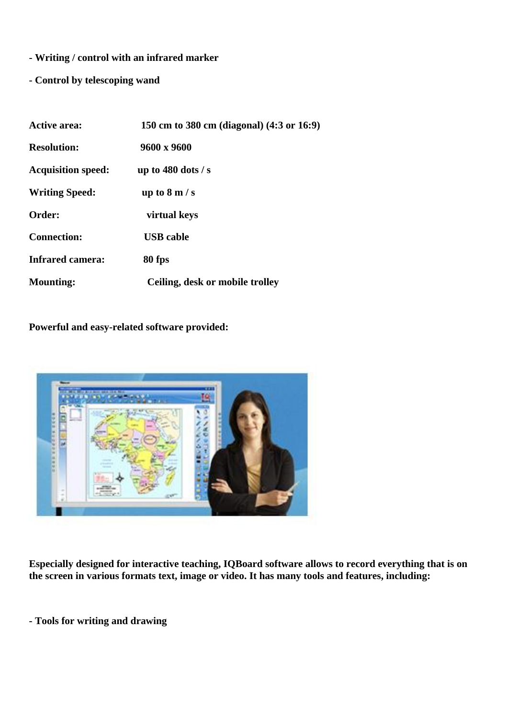- **Writing / control with an infrared marker**
- **Control by telescoping wand**

| <b>Active area:</b>       | 150 cm to 380 cm (diagonal) (4:3 or 16:9) |
|---------------------------|-------------------------------------------|
| <b>Resolution:</b>        | 9600 x 9600                               |
| <b>Acquisition speed:</b> | up to $480$ dots / s                      |
| <b>Writing Speed:</b>     | up to $8 \text{ m/s}$                     |
| Order:                    | virtual keys                              |
| <b>Connection:</b>        | <b>USB</b> cable                          |
| <b>Infrared camera:</b>   | 80 fps                                    |
| <b>Mounting:</b>          | Ceiling, desk or mobile trolley           |

**Powerful and easy-related software provided:**



**Especially designed for interactive teaching, IQBoard software allows to record everything that is on the screen in various formats text, image or video. It has many tools and features, including:**

**- Tools for writing and drawing**